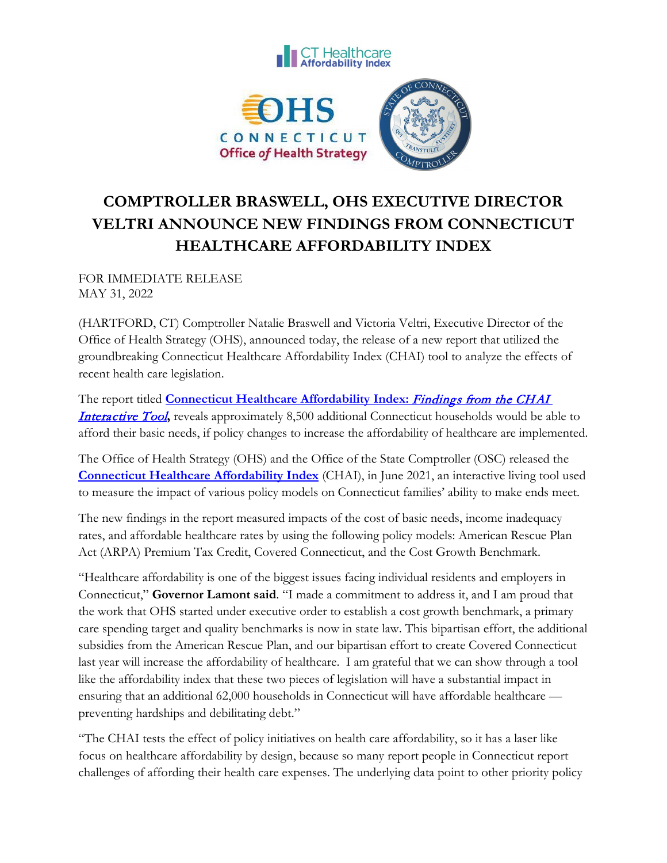

## **COMPTROLLER BRASWELL, OHS EXECUTIVE DIRECTOR VELTRI ANNOUNCE NEW FINDINGS FROM CONNECTICUT HEALTHCARE AFFORDABILITY INDEX**

FOR IMMEDIATE RELEASE MAY 31, 2022

(HARTFORD, CT) Comptroller Natalie Braswell and Victoria Veltri, Executive Director of the Office of Health Strategy (OHS), announced today, the release of a new report that utilized the groundbreaking Connecticut Healthcare Affordability Index (CHAI) tool to analyze the effects of recent health care legislation.

The report titled **[Connecticut Healthcare Affordability Index:](https://portal.ct.gov/-/media/OHS/CT-Healthcare-Affordability-Index/CHAI/CHAI2022_PolicyModel-w-CostGrowth_2022.pdf)** Findings from the CHAI [Interactive Tool](https://portal.ct.gov/-/media/OHS/CT-Healthcare-Affordability-Index/CHAI/CHAI2022_PolicyModel-w-CostGrowth_2022.pdf)**,** reveals approximately 8,500 additional Connecticut households would be able to afford their basic needs, if policy changes to increase the affordability of healthcare are implemented.

The Office of Health Strategy (OHS) and the Office of the State Comptroller (OSC) released the **[Connecticut Healthcare Affordability Index](https://portal.ct.gov/healthscorect/CHAI-Interactive-Tool?language=en_US)** (CHAI), in June 2021, an interactive living tool used to measure the impact of various policy models on Connecticut families' ability to make ends meet.

The new findings in the report measured impacts of the cost of basic needs, income inadequacy rates, and affordable healthcare rates by using the following policy models: American Rescue Plan Act (ARPA) Premium Tax Credit, Covered Connecticut, and the Cost Growth Benchmark.

"Healthcare affordability is one of the biggest issues facing individual residents and employers in Connecticut," **Governor Lamont said**. "I made a commitment to address it, and I am proud that the work that OHS started under executive order to establish a cost growth benchmark, a primary care spending target and quality benchmarks is now in state law. This bipartisan effort, the additional subsidies from the American Rescue Plan, and our bipartisan effort to create Covered Connecticut last year will increase the affordability of healthcare. I am grateful that we can show through a tool like the affordability index that these two pieces of legislation will have a substantial impact in ensuring that an additional 62,000 households in Connecticut will have affordable healthcare preventing hardships and debilitating debt."

"The CHAI tests the effect of policy initiatives on health care affordability, so it has a laser like focus on healthcare affordability by design, because so many report people in Connecticut report challenges of affording their health care expenses. The underlying data point to other priority policy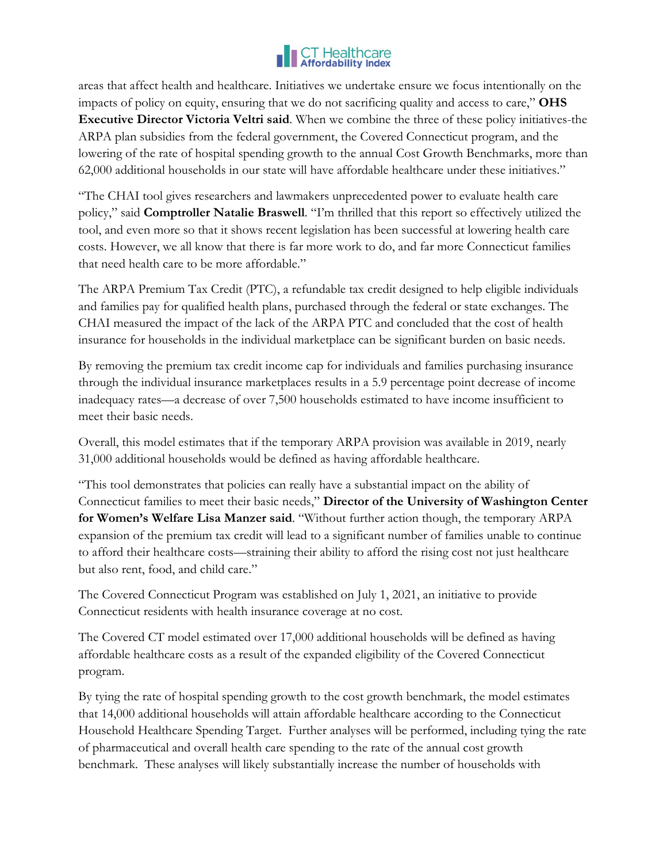

areas that affect health and healthcare. Initiatives we undertake ensure we focus intentionally on the impacts of policy on equity, ensuring that we do not sacrificing quality and access to care," **OHS Executive Director Victoria Veltri said**. When we combine the three of these policy initiatives-the ARPA plan subsidies from the federal government, the Covered Connecticut program, and the lowering of the rate of hospital spending growth to the annual Cost Growth Benchmarks, more than 62,000 additional households in our state will have affordable healthcare under these initiatives."

"The CHAI tool gives researchers and lawmakers unprecedented power to evaluate health care policy," said **Comptroller Natalie Braswell**. "I'm thrilled that this report so effectively utilized the tool, and even more so that it shows recent legislation has been successful at lowering health care costs. However, we all know that there is far more work to do, and far more Connecticut families that need health care to be more affordable."

The ARPA Premium Tax Credit (PTC), a refundable tax credit designed to help eligible individuals and families pay for qualified health plans, purchased through the federal or state exchanges. The CHAI measured the impact of the lack of the ARPA PTC and concluded that the cost of health insurance for households in the individual marketplace can be significant burden on basic needs.

By removing the premium tax credit income cap for individuals and families purchasing insurance through the individual insurance marketplaces results in a 5.9 percentage point decrease of income inadequacy rates—a decrease of over 7,500 households estimated to have income insufficient to meet their basic needs.

Overall, this model estimates that if the temporary ARPA provision was available in 2019, nearly 31,000 additional households would be defined as having affordable healthcare.

"This tool demonstrates that policies can really have a substantial impact on the ability of Connecticut families to meet their basic needs," **Director of the University of Washington Center for Women's Welfare Lisa Manzer said**. "Without further action though, the temporary ARPA expansion of the premium tax credit will lead to a significant number of families unable to continue to afford their healthcare costs—straining their ability to afford the rising cost not just healthcare but also rent, food, and child care."

The Covered Connecticut Program was established on July 1, 2021, an initiative to provide Connecticut residents with health insurance coverage at no cost.

The Covered CT model estimated over 17,000 additional households will be defined as having affordable healthcare costs as a result of the expanded eligibility of the Covered Connecticut program.

By tying the rate of hospital spending growth to the cost growth benchmark, the model estimates that 14,000 additional households will attain affordable healthcare according to the Connecticut Household Healthcare Spending Target. Further analyses will be performed, including tying the rate of pharmaceutical and overall health care spending to the rate of the annual cost growth benchmark. These analyses will likely substantially increase the number of households with